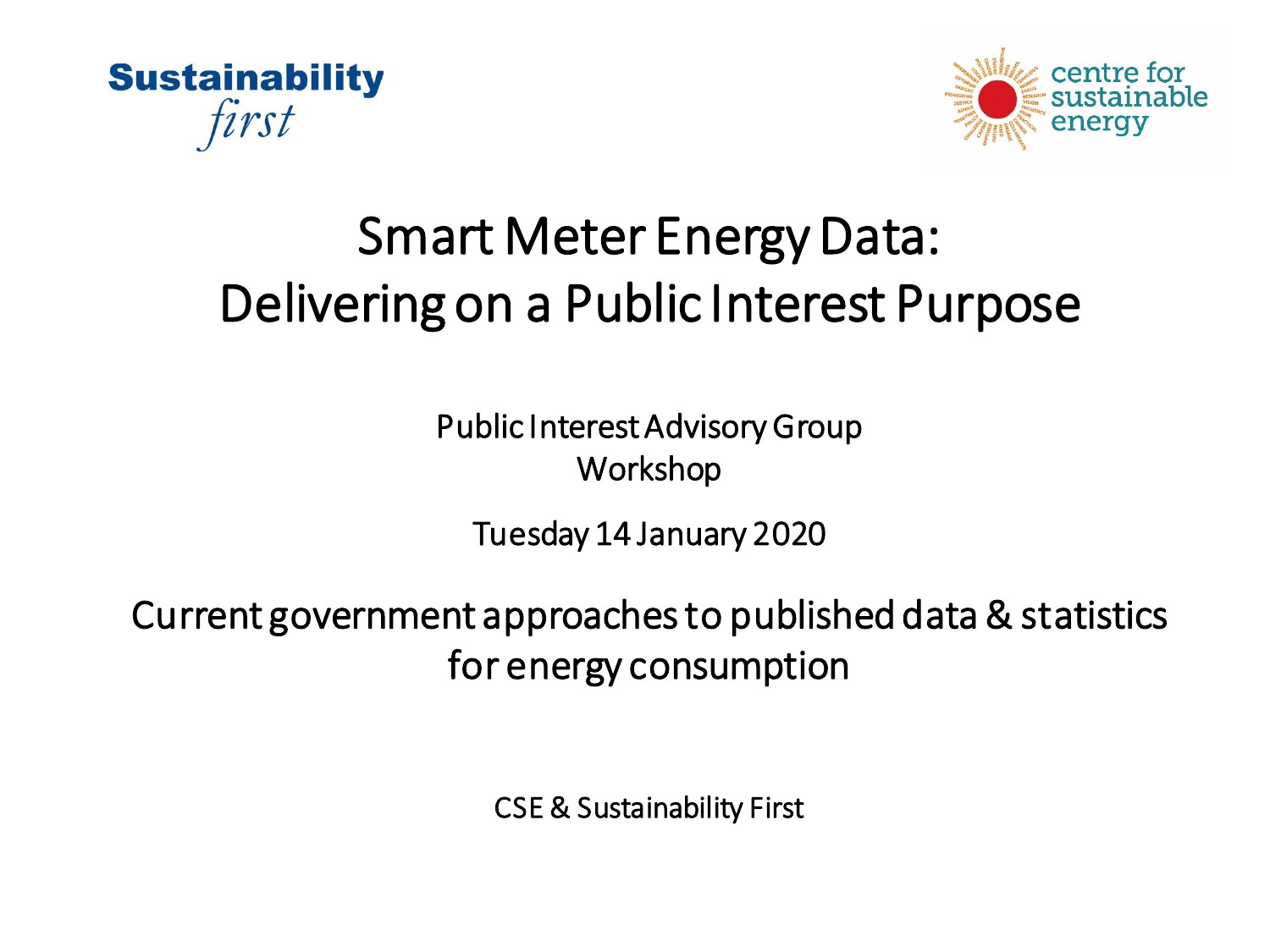



# Smart Meter Energy Data: Delivering on a Public Interest Purpose

Public Interest Advisory Group Workshop

Tuesday 14 January 2020

Current government approaches to published data & statistics for energy consumption

CSE & Sustainability First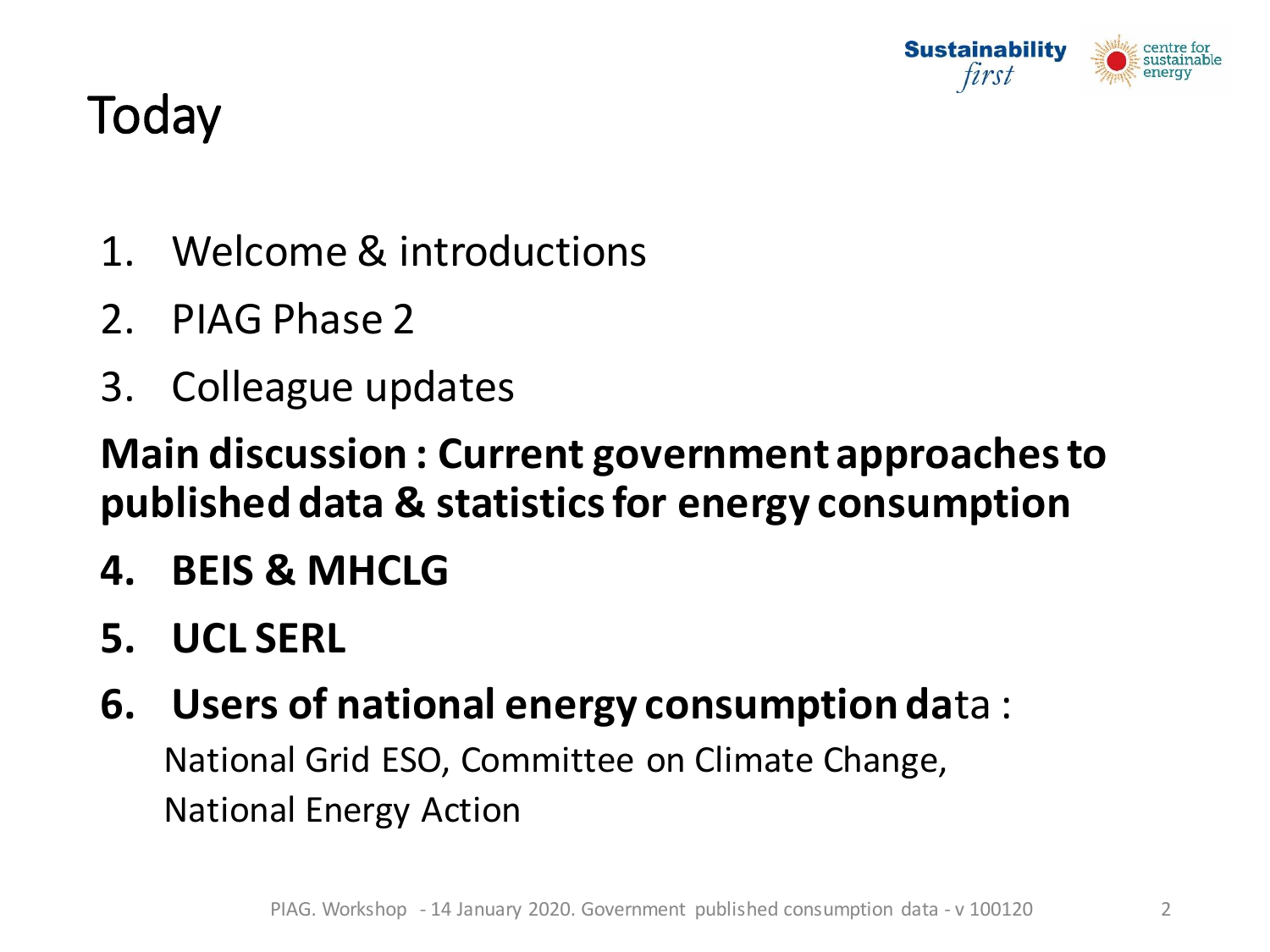

# **Today**

- 1. Welcome & introductions
- 2. PIAG Phase 2
- 3. Colleague updates
- **Main discussion : Current government approaches to published data & statistics for energy consumption**
- **4. BEIS & MHCLG**
- **5. UCL SERL**
- **6. Users of national energy consumption da**ta : National Grid ESO, Committee on Climate Change, National Energy Action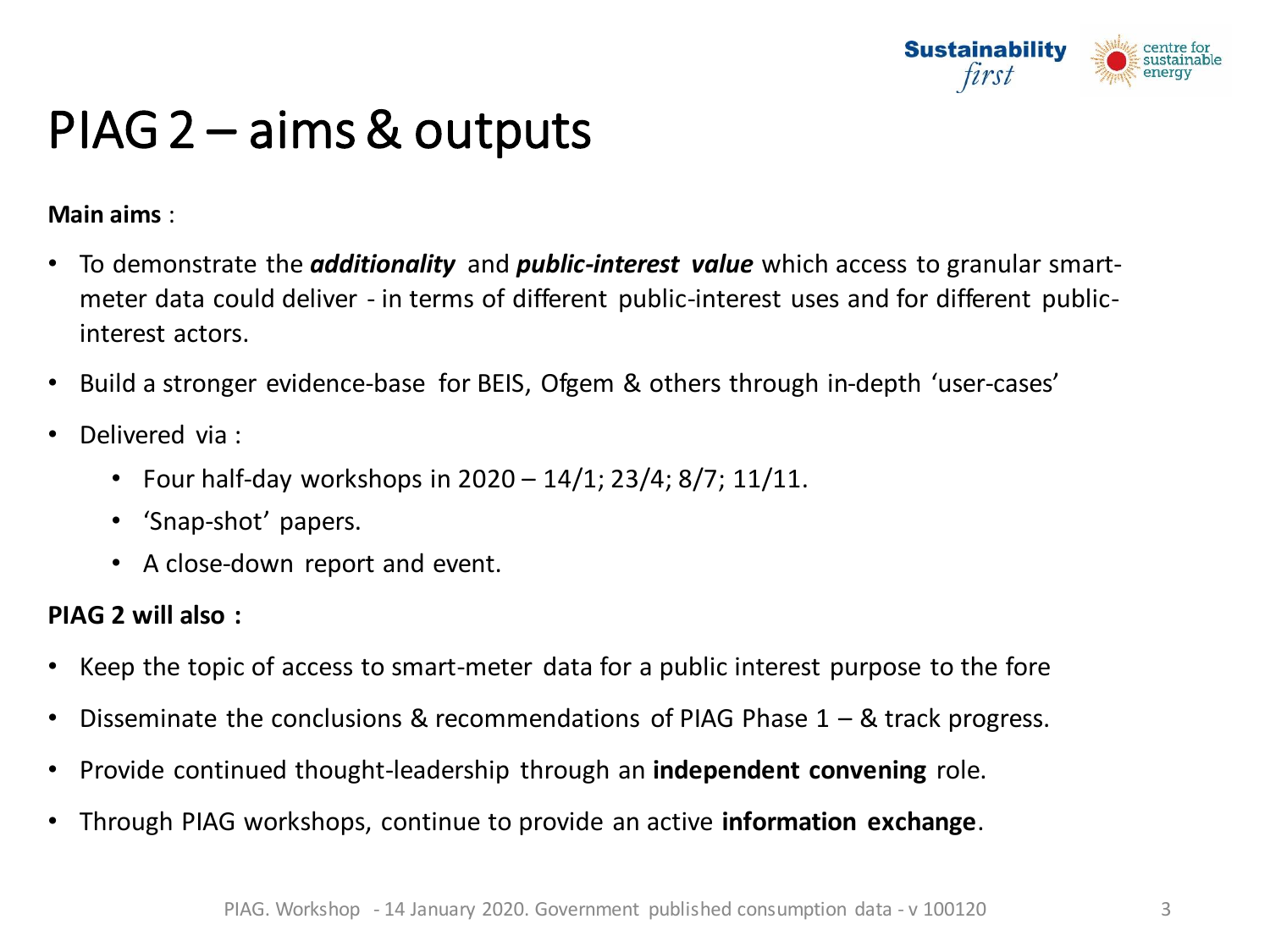

### PIAG 2 – aims & outputs

#### **Main aims** :

- To demonstrate the *additionality* and *public-interest value* which access to granular smartmeter data could deliver - in terms of different public-interest uses and for different publicinterest actors.
- Build a stronger evidence-base for BEIS, Ofgem & others through in-depth 'user-cases'
- Delivered via :
	- Four half-day workshops in  $2020 14/1$ ; 23/4; 8/7; 11/11.
	- 'Snap-shot' papers.
	- A close-down report and event.

#### **PIAG 2 will also :**

- Keep the topic of access to smart-meter data for a public interest purpose to the fore
- Disseminate the conclusions & recommendations of PIAG Phase  $1 8$  track progress.
- Provide continued thought-leadership through an **independent convening** role.
- Through PIAG workshops, continue to provide an active **information exchange**.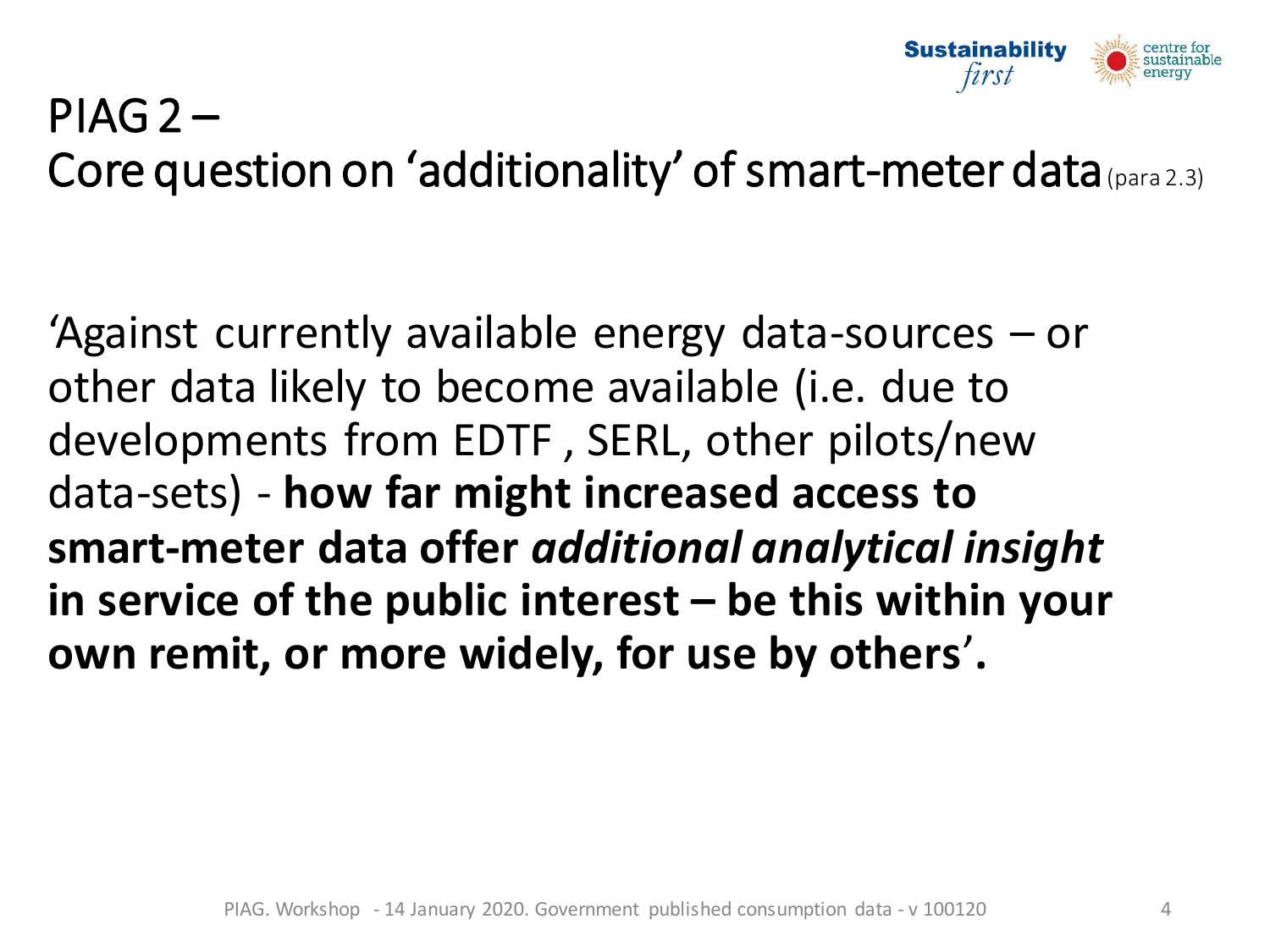

### $PIAG 2 -$ Core question on 'additionality' of smart-meter data (para 2.3)

'Against currently available energy data-sources – or other data likely to become available (i.e. due to developments from EDTF , SERL, other pilots/new data-sets) - **how far might increased access to smart-meter data offer** *additional analytical insight* **in service of the public interest – be this within your own remit, or more widely, for use by others**'**.**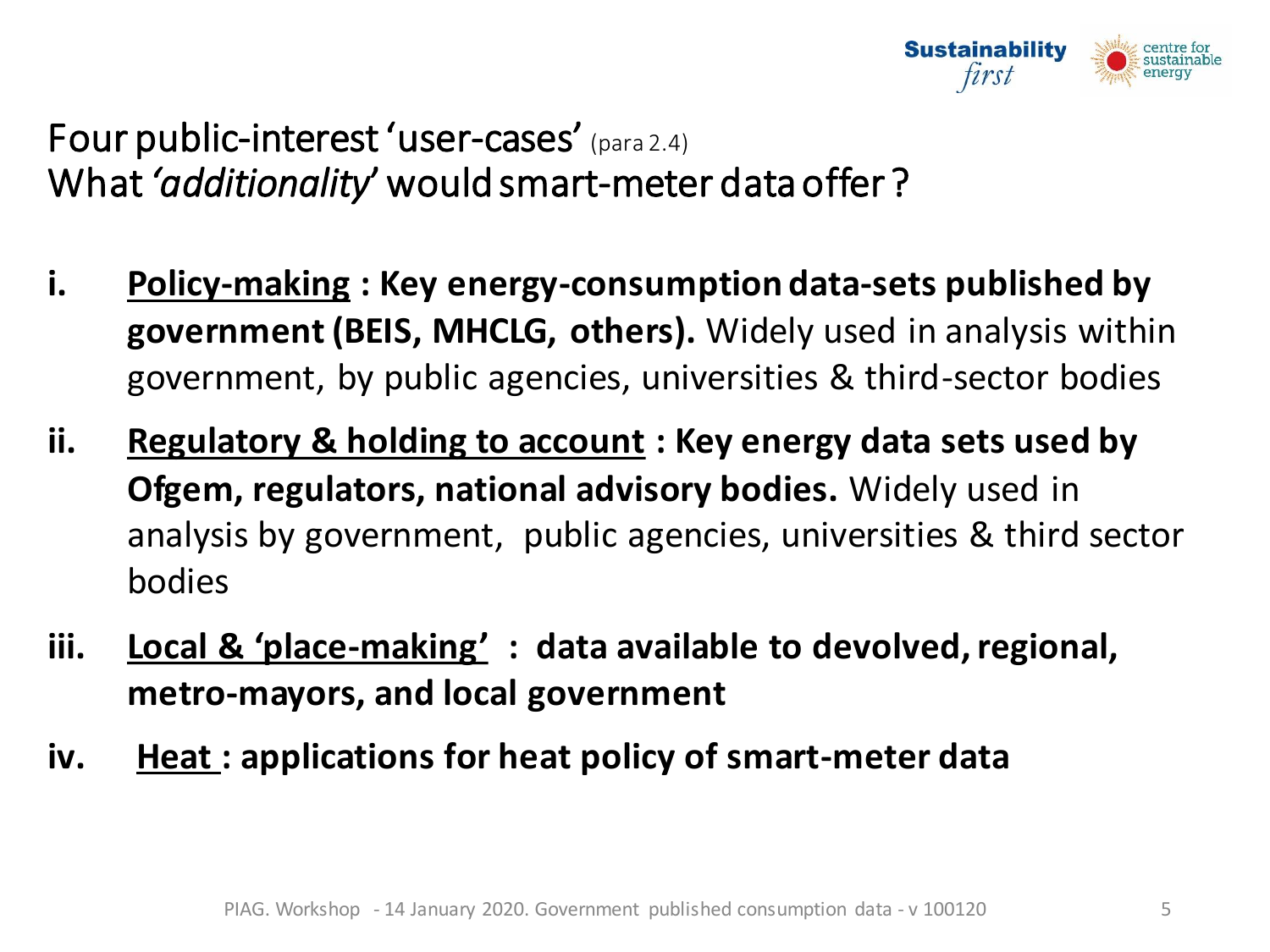

### Four public-interest 'user-cases' (para 2.4) What *'additionality*' would smart-meter data offer ?

- **i. Policy-making : Key energy-consumption data-sets published by government (BEIS, MHCLG, others).** Widely used in analysis within government, by public agencies, universities & third-sector bodies
- **ii. Regulatory & holding to account : Key energy data sets used by Ofgem, regulators, national advisory bodies.** Widely used in analysis by government, public agencies, universities & third sector bodies
- **iii. Local & 'place-making' : data available to devolved, regional, metro-mayors, and local government**
- **iv. Heat : applications for heat policy of smart-meter data**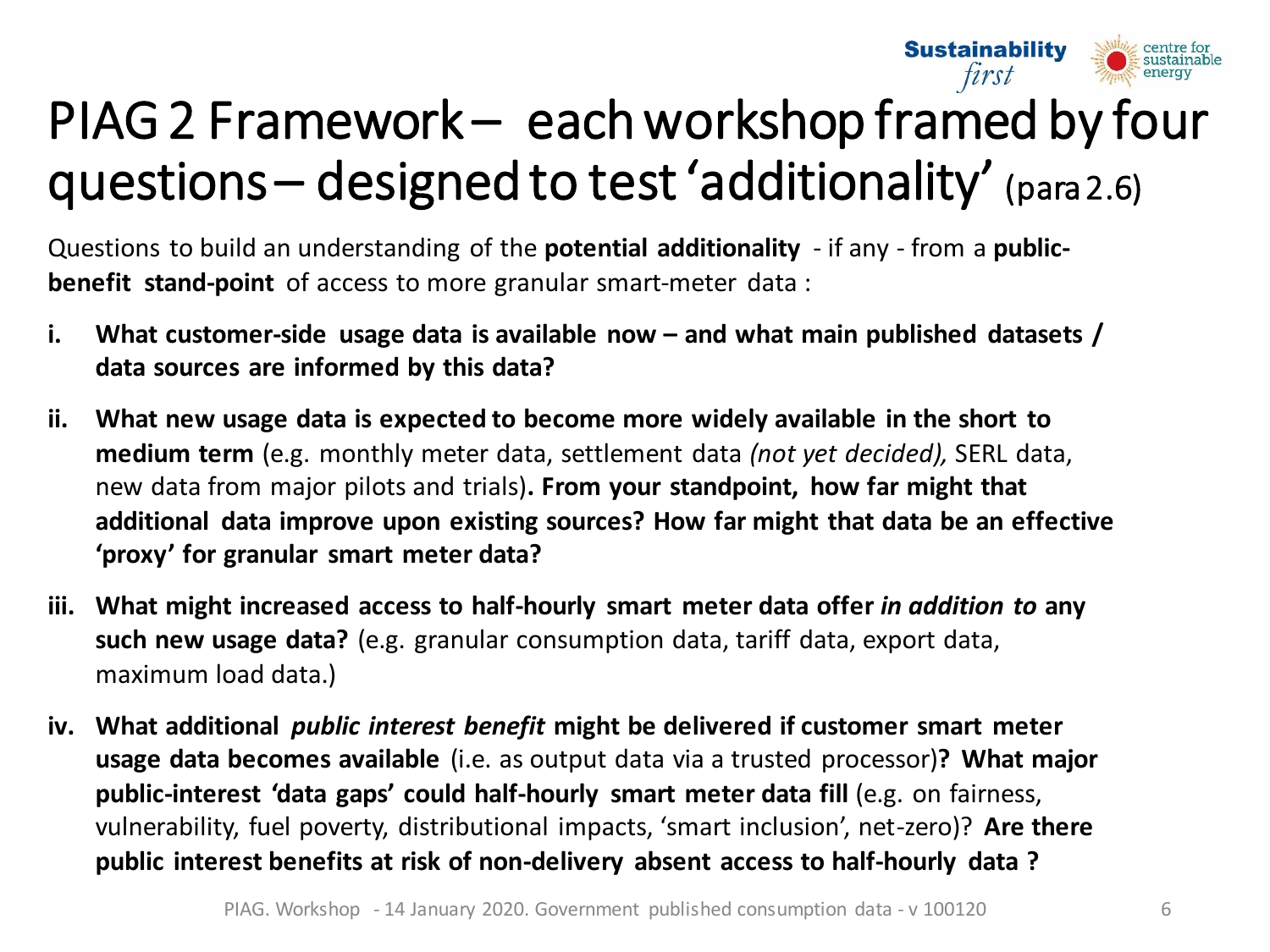### first PIAG 2 Framework – each workshop framed by four questions – designed to test 'additionality' (para 2.6)

Questions to build an understanding of the **potential additionality** - if any - from a **publicbenefit stand-point** of access to more granular smart-meter data :

- **i. What customer-side usage data is available now – and what main published datasets / data sources are informed by this data?**
- **ii. What new usage data is expected to become more widely available in the short to medium term** (e.g. monthly meter data, settlement data *(not yet decided),* SERL data, new data from major pilots and trials)**. From your standpoint, how far might that additional data improve upon existing sources? How far might that data be an effective 'proxy' for granular smart meter data?**
- **iii. What might increased access to half-hourly smart meter data offer** *in addition to* **any such new usage data?** (e.g. granular consumption data, tariff data, export data, maximum load data.)
- **iv. What additional** *public interest benefit* **might be delivered if customer smart meter usage data becomes available** (i.e. as output data via a trusted processor)**? What major public-interest 'data gaps' could half-hourly smart meter data fill** (e.g. on fairness, vulnerability, fuel poverty, distributional impacts, 'smart inclusion', net-zero)? **Are there public interest benefits at risk of non-delivery absent access to half-hourly data ?**

**Sustainability**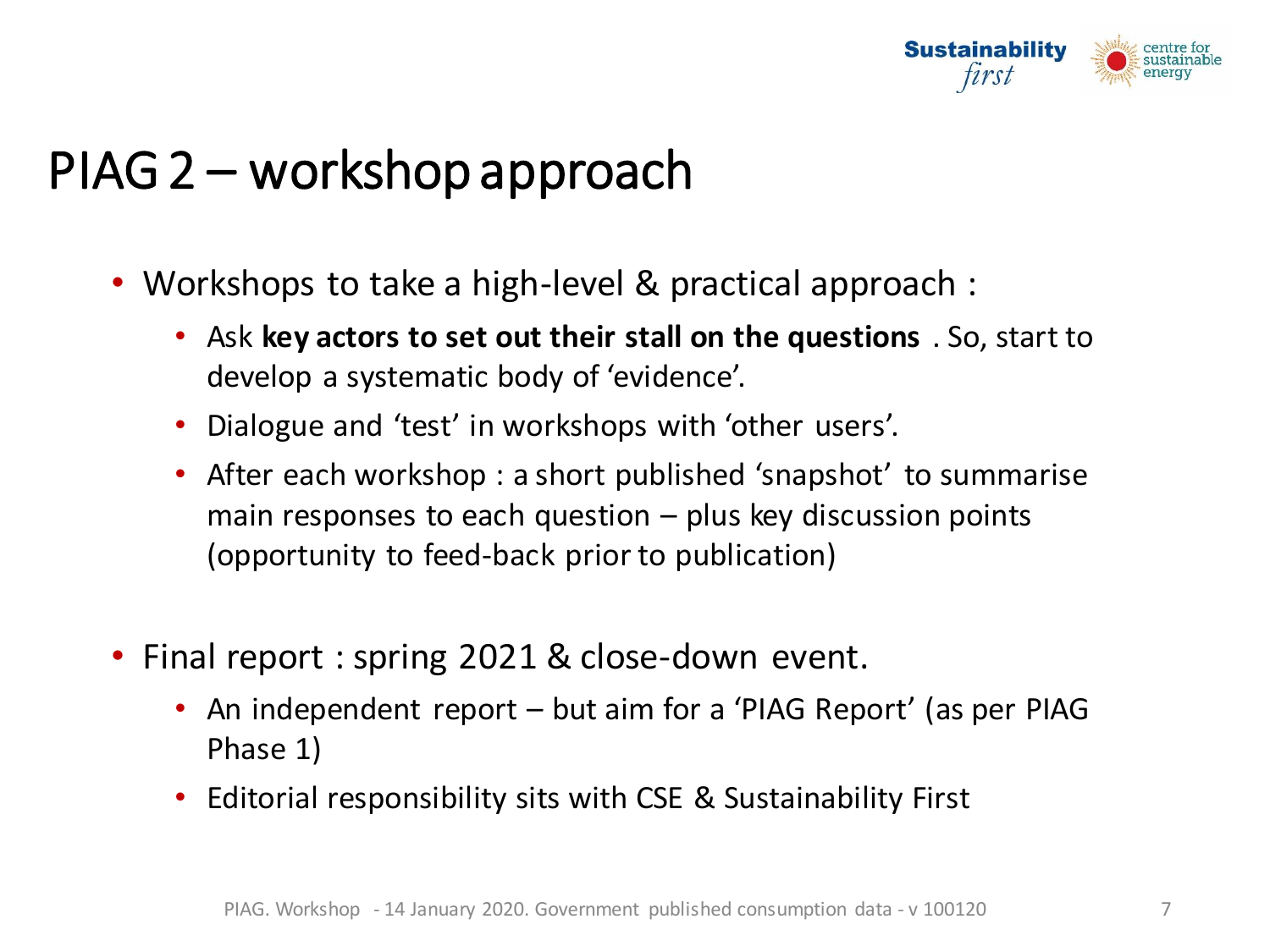

## PIAG 2 – workshop approach

- Workshops to take a high-level & practical approach :
	- Ask **key actors to set out their stall on the questions** . So, start to develop a systematic body of 'evidence'.
	- Dialogue and 'test' in workshops with 'other users'.
	- After each workshop : a short published 'snapshot' to summarise main responses to each question  $-$  plus key discussion points (opportunity to feed-back prior to publication)
- Final report : spring 2021 & close-down event.
	- An independent report but aim for a 'PIAG Report' (as per PIAG Phase 1)
	- Editorial responsibility sits with CSE & Sustainability First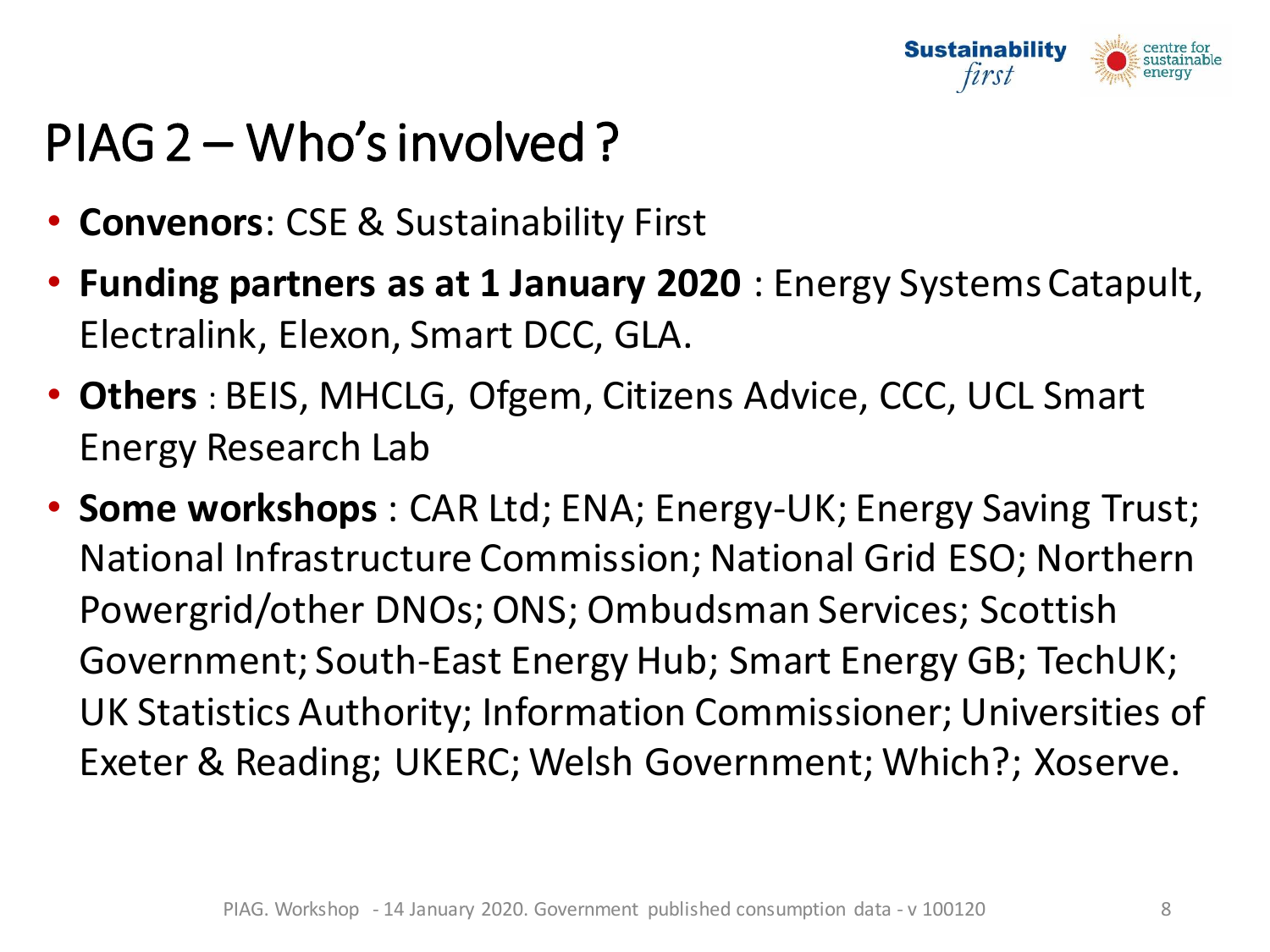

## PIAG 2 – Who's involved ?

- **Convenors**: CSE & Sustainability First
- **Funding partners as at 1 January 2020** : Energy Systems Catapult, Electralink, Elexon, Smart DCC, GLA.
- **Others** : BEIS, MHCLG, Ofgem, Citizens Advice, CCC, UCL Smart Energy Research Lab
- **Some workshops** : CAR Ltd; ENA; Energy-UK; Energy Saving Trust; National Infrastructure Commission; National Grid ESO; Northern Powergrid/other DNOs; ONS; Ombudsman Services; Scottish Government; South-East Energy Hub; Smart Energy GB; TechUK; UK Statistics Authority; Information Commissioner; Universities of Exeter & Reading; UKERC; Welsh Government; Which?; Xoserve.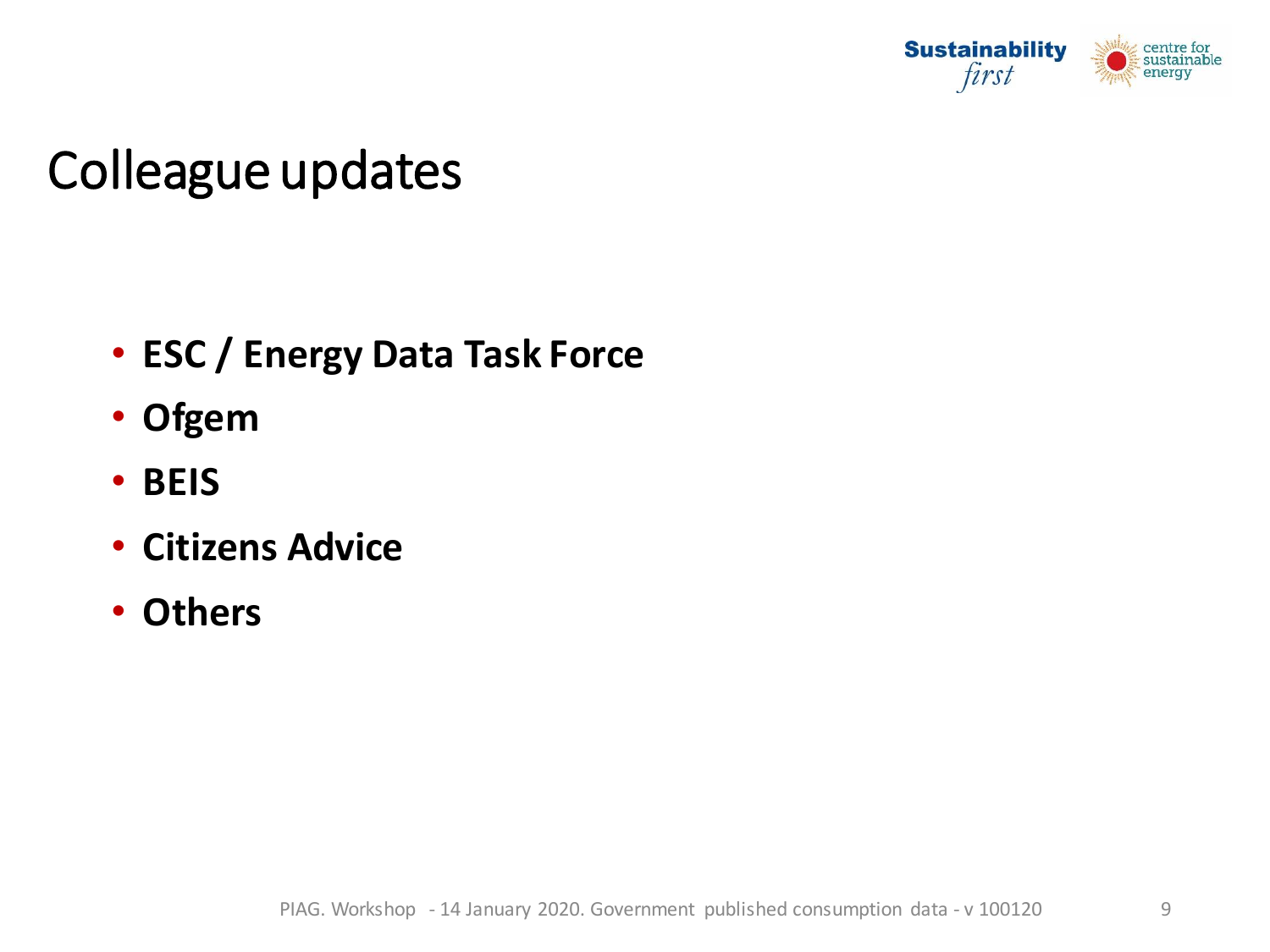

### Colleague updates

- **ESC / Energy Data Task Force**
- **Ofgem**
- **BEIS**
- **Citizens Advice**
- **Others**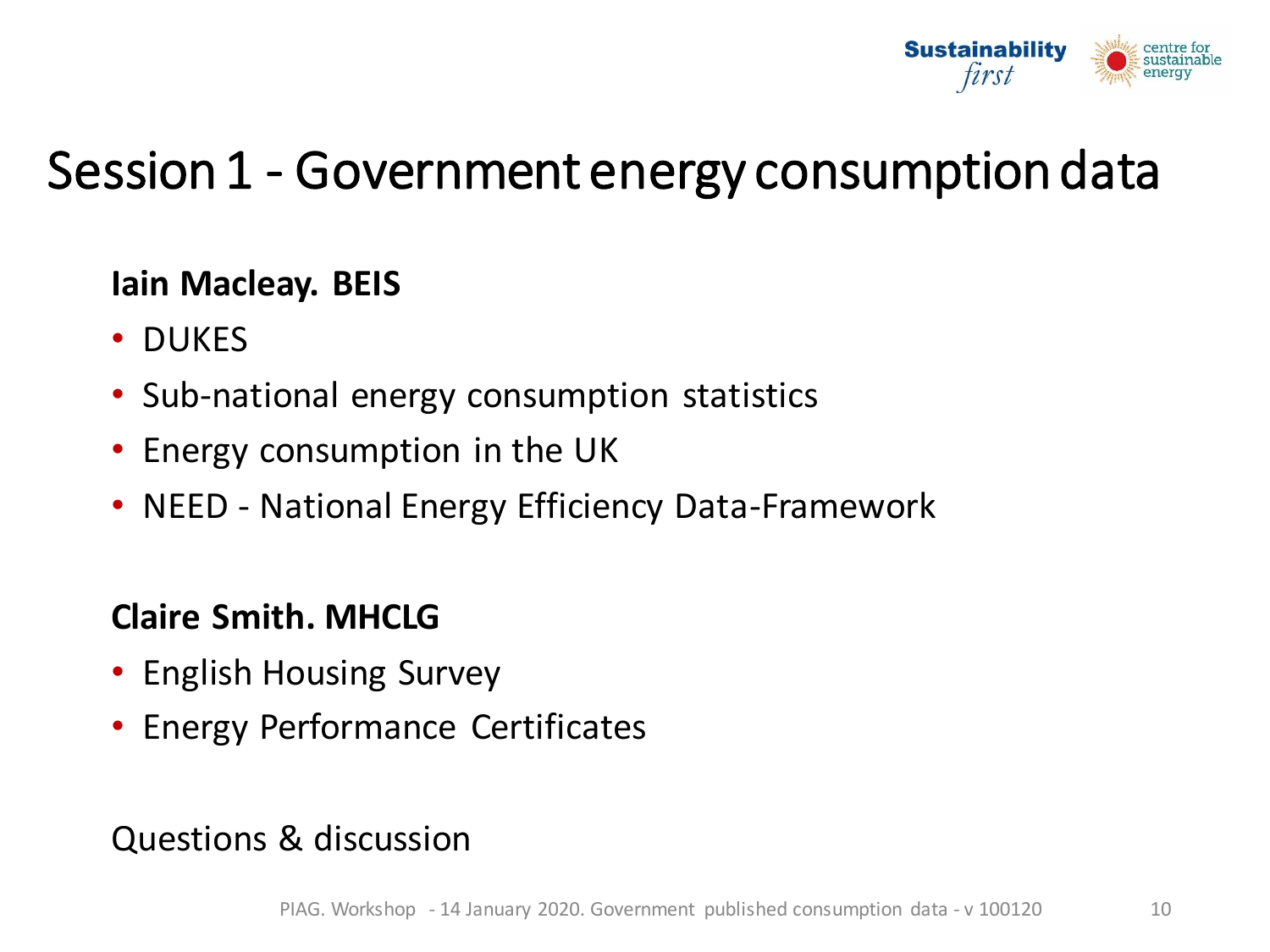

### Session 1 - Government energy consumption data

#### **Iain Macleay. BEIS**

- DUKES
- Sub-national energy consumption statistics
- Energy consumption in the UK
- NEED National Energy Efficiency Data-Framework

#### **Claire Smith. MHCLG**

- English Housing Survey
- Energy Performance Certificates

#### Questions & discussion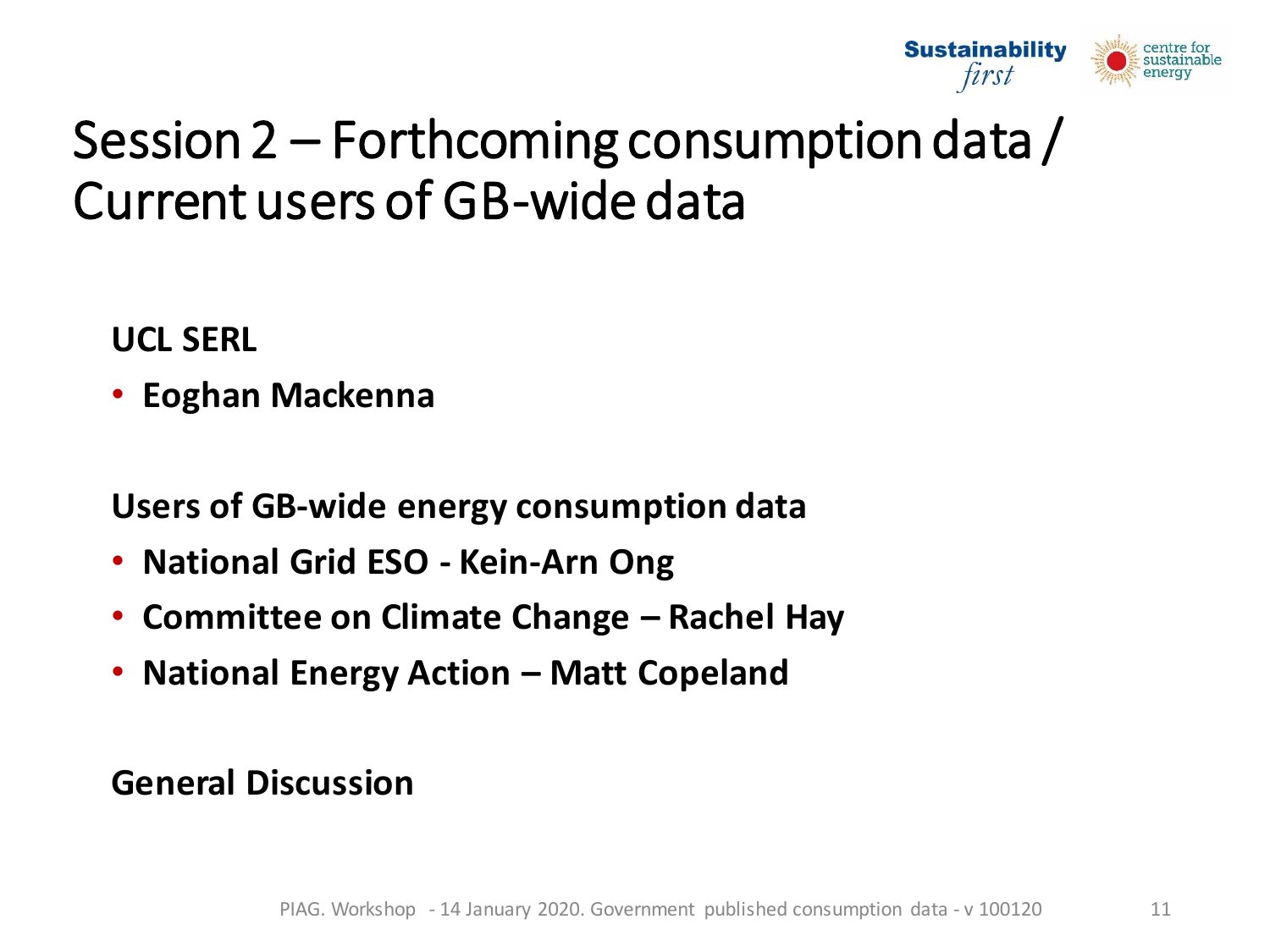

## Session 2 – Forthcoming consumption data / Current users of GB-wide data

**UCL SERL** 

• **Eoghan Mackenna**

**Users of GB-wide energy consumption data**

- **National Grid ESO - Kein-Arn Ong**
- **Committee on Climate Change – Rachel Hay**
- **National Energy Action – Matt Copeland**

#### **General Discussion**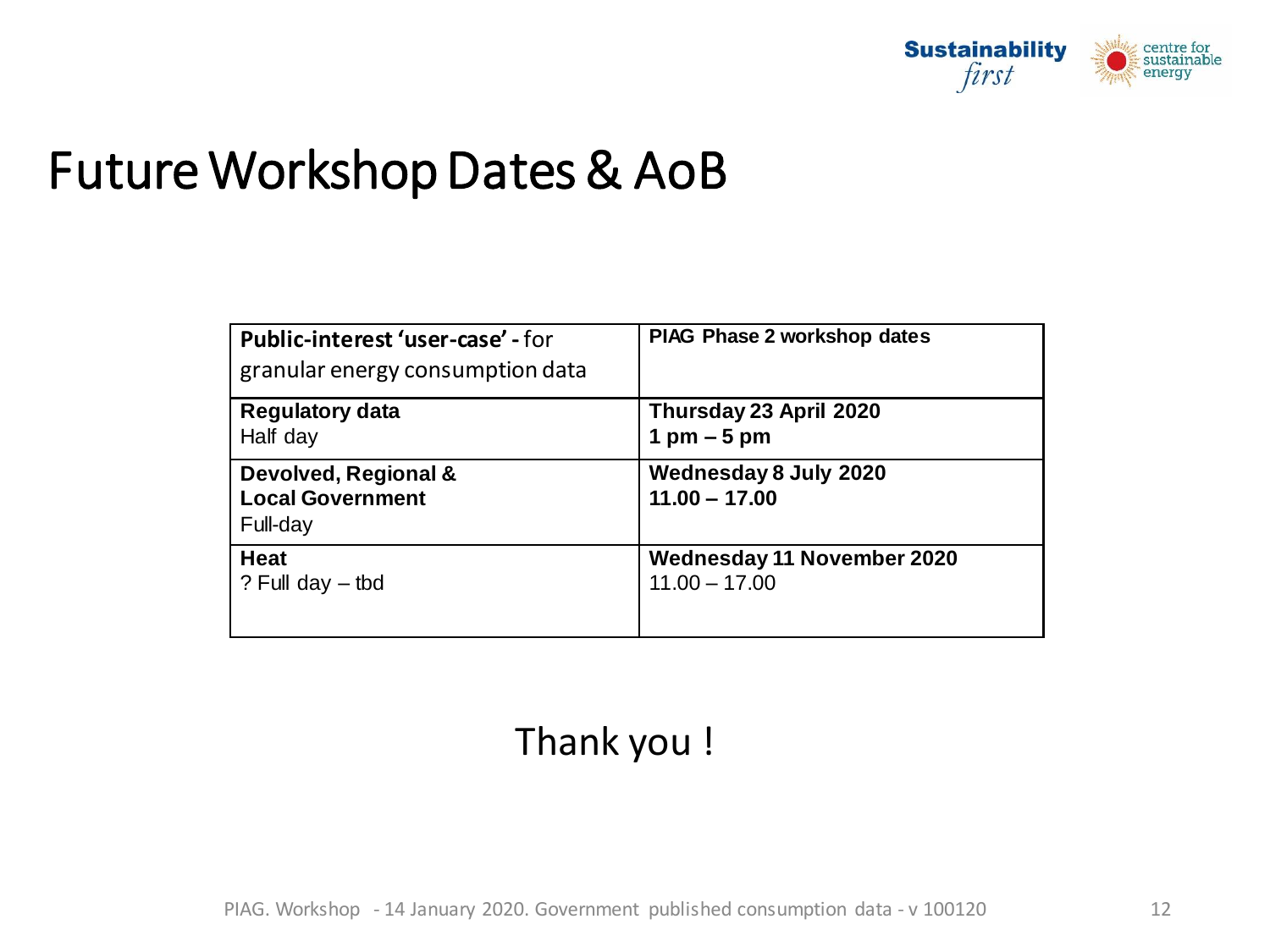

### Future Workshop Dates & AoB

| Public-interest 'user-case' - for<br>granular energy consumption data | <b>PIAG Phase 2 workshop dates</b> |
|-----------------------------------------------------------------------|------------------------------------|
| <b>Regulatory data</b>                                                | Thursday 23 April 2020             |
| Half day                                                              | $1$ pm $-5$ pm                     |
| Devolved, Regional &                                                  | <b>Wednesday 8 July 2020</b>       |
| <b>Local Government</b>                                               | $11.00 - 17.00$                    |
| Full-day                                                              |                                    |
| <b>Heat</b>                                                           | <b>Wednesday 11 November 2020</b>  |
| ? Full day $-$ tbd                                                    | $11.00 - 17.00$                    |
|                                                                       |                                    |

### Thank you !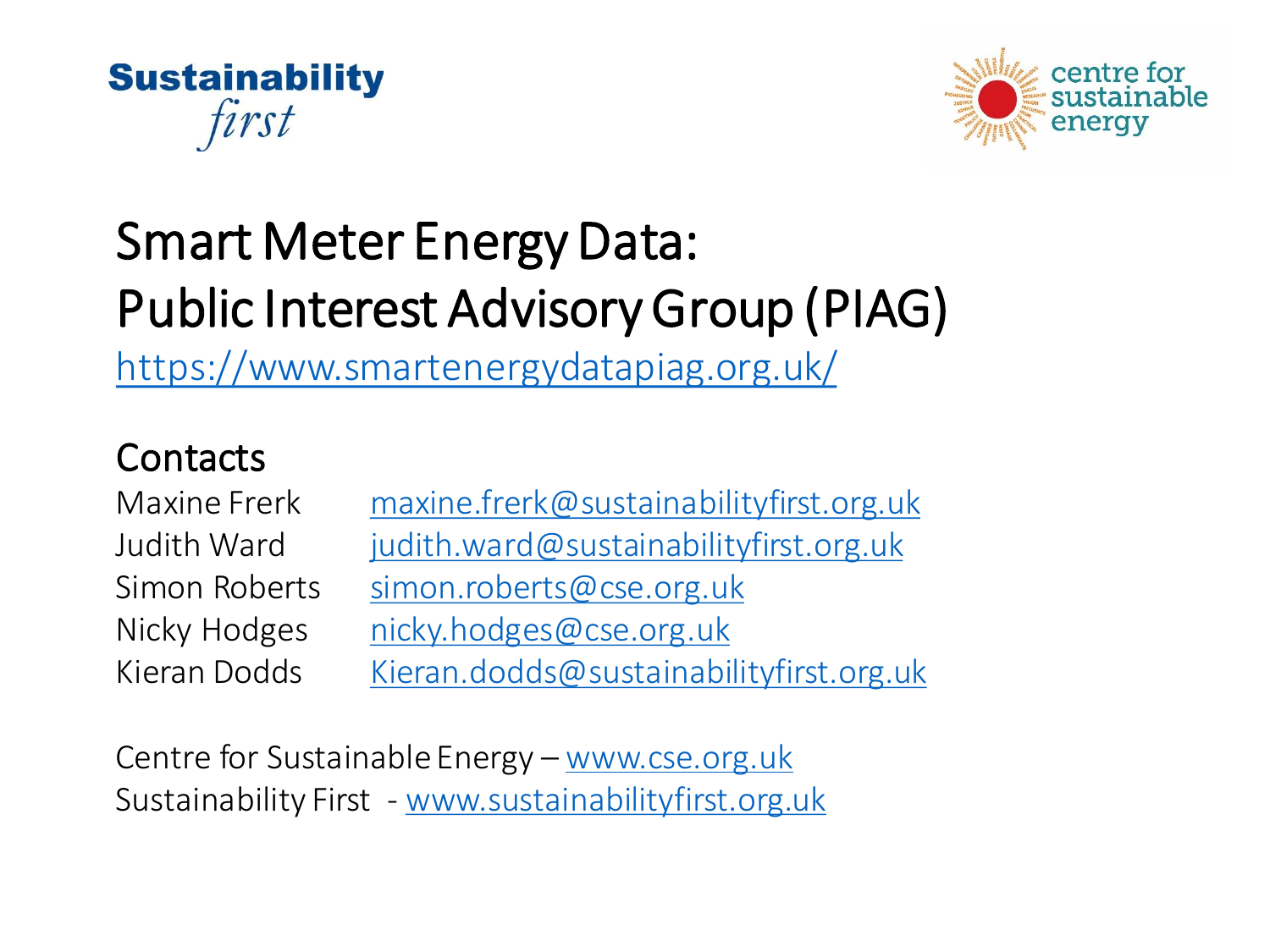



# Smart Meter Energy Data: Public Interest Advisory Group (PIAG)

<https://www.smartenergydatapiag.org.uk/>

### **Contacts**

| Maxine Frerk  | maxine.frerk@sustainabilityfirst.org.uk |
|---------------|-----------------------------------------|
| Judith Ward   | judith.ward@sustainabilityfirst.org.uk  |
| Simon Roberts | simon.roberts@cse.org.uk                |
| Nicky Hodges  | nicky.hodges@cse.org.uk                 |
| Kieran Dodds  | Kieran.dodds@sustainabilityfirst.org.uk |

Centre for Sustainable Energy – [www.cse.org.uk](http://www.cse.org.uk/) Sustainability First - [www.sustainabilityfirst.org.uk](http://www.sustainabilityfirst.org.uk/)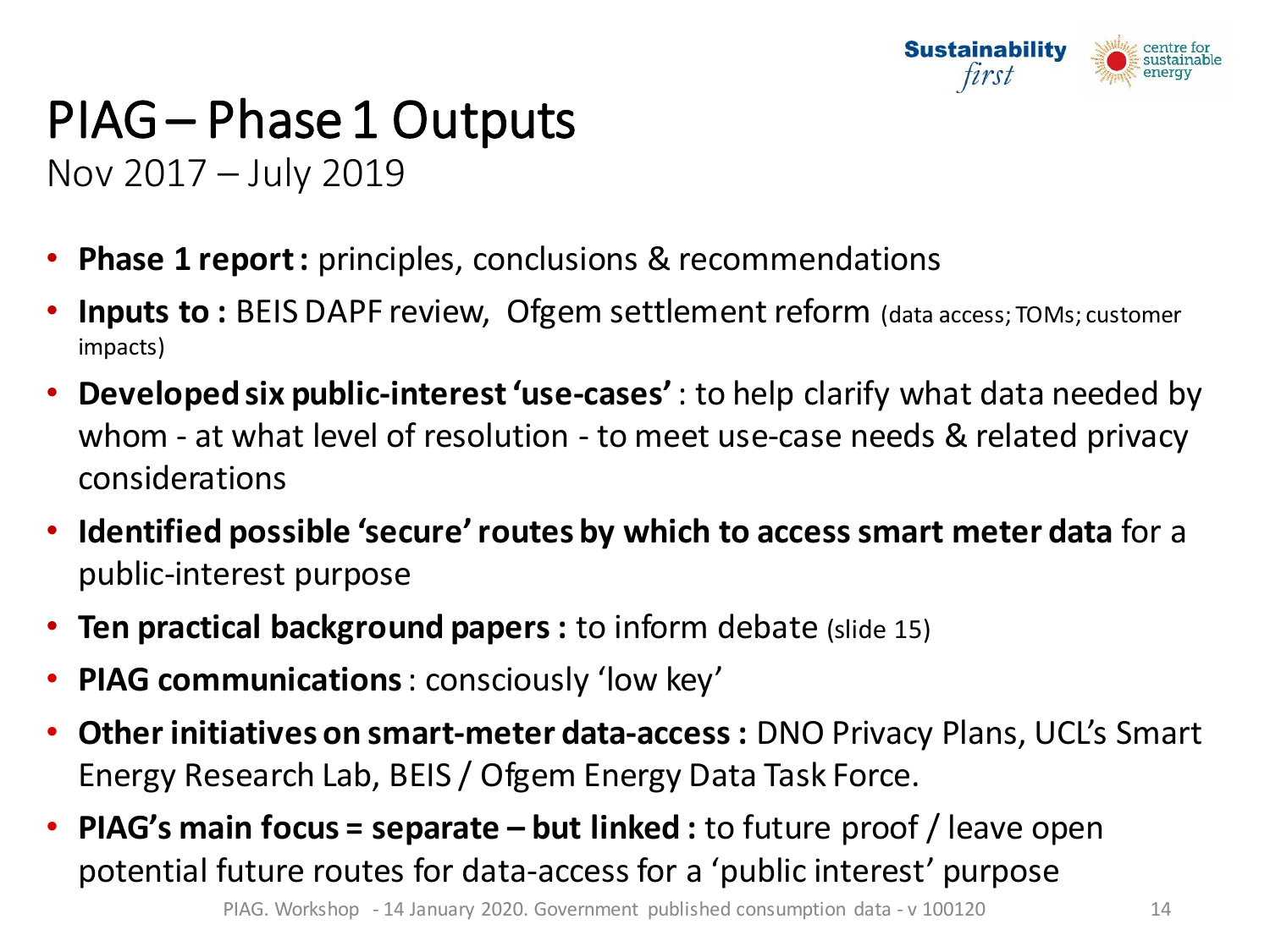

### PIAG – Phase 1 Outputs Nov 2017 – July 2019

- **Phase 1 report :** principles, conclusions & recommendations
- **Inputs to: BEIS DAPF review, Ofgem settlement reform (data access; TOMs; customer** impacts)
- **Developed six public-interest 'use-cases'** : to help clarify what data needed by whom - at what level of resolution - to meet use-case needs & related privacy considerations
- **Identified possible 'secure' routes by which to access smart meter data** for a public-interest purpose
- **Ten practical background papers :** to inform debate (slide 15)
- **PIAG communications** : consciously 'low key'
- **Other initiatives on smart-meter data-access :** DNO Privacy Plans, UCL's Smart Energy Research Lab, BEIS / Ofgem Energy Data Task Force.
- **PIAG's main focus = separate – but linked :** to future proof / leave open potential future routes for data-access for a 'public interest' purpose